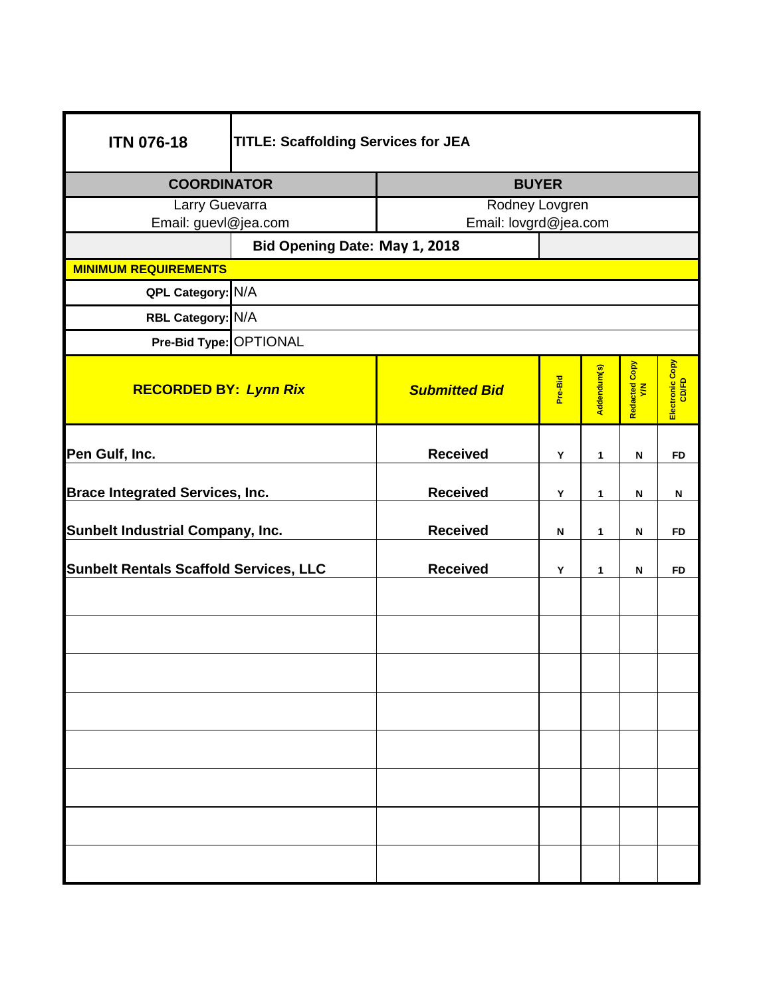| <b>ITN 076-18</b>                                | <b>TITLE: Scaffolding Services for JEA</b> |                       |         |              |                      |                          |
|--------------------------------------------------|--------------------------------------------|-----------------------|---------|--------------|----------------------|--------------------------|
| <b>COORDINATOR</b>                               |                                            | <b>BUYER</b>          |         |              |                      |                          |
| Larry Guevarra                                   |                                            | Rodney Lovgren        |         |              |                      |                          |
| Email: guevl@jea.com                             |                                            | Email: lovgrd@jea.com |         |              |                      |                          |
|                                                  | Bid Opening Date: May 1, 2018              |                       |         |              |                      |                          |
| <b>MINIMUM REQUIREMENTS</b><br>QPL Category: N/A |                                            |                       |         |              |                      |                          |
| RBL Category: N/A                                |                                            |                       |         |              |                      |                          |
|                                                  |                                            |                       |         |              |                      |                          |
| Pre-Bid Type: OPTIONAL                           |                                            |                       |         |              |                      |                          |
| <b>RECORDED BY: Lynn Rix</b>                     |                                            | <b>Submitted Bid</b>  | Pre-Bid | Addendum(s)  | Redacted Copy<br>Y/N | Electronic Copy<br>CD/FD |
| Pen Gulf, Inc.                                   |                                            | <b>Received</b>       | Υ       | 1            | N                    | <b>FD</b>                |
| <b>Brace Integrated Services, Inc.</b>           |                                            | <b>Received</b>       | Υ       | 1            | N                    | N                        |
| <b>Sunbelt Industrial Company, Inc.</b>          |                                            | <b>Received</b>       | N       | $\mathbf{1}$ | N                    | <b>FD</b>                |
| <b>Sunbelt Rentals Scaffold Services, LLC</b>    |                                            | <b>Received</b>       | Υ       | 1            | N                    | <b>FD</b>                |
|                                                  |                                            |                       |         |              |                      |                          |
|                                                  |                                            |                       |         |              |                      |                          |
|                                                  |                                            |                       |         |              |                      |                          |
|                                                  |                                            |                       |         |              |                      |                          |
|                                                  |                                            |                       |         |              |                      |                          |
|                                                  |                                            |                       |         |              |                      |                          |
|                                                  |                                            |                       |         |              |                      |                          |
|                                                  |                                            |                       |         |              |                      |                          |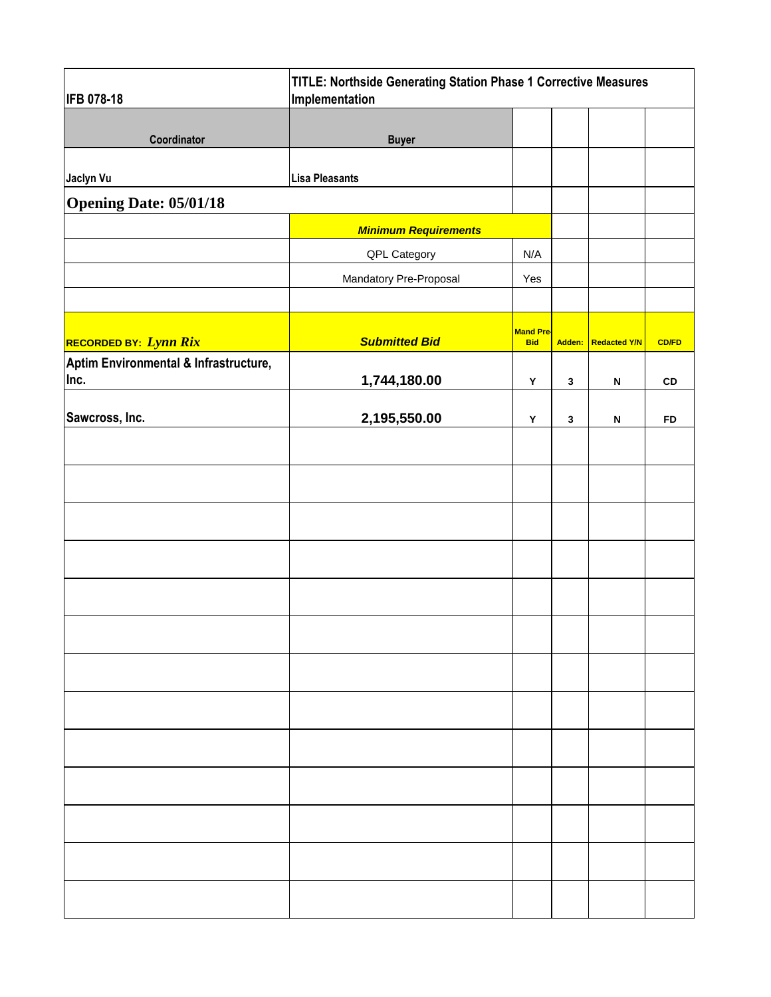| <b>IFB 078-18</b>                     | TITLE: Northside Generating Station Phase 1 Corrective Measures<br>Implementation |                                |              |                           |              |
|---------------------------------------|-----------------------------------------------------------------------------------|--------------------------------|--------------|---------------------------|--------------|
|                                       |                                                                                   |                                |              |                           |              |
| Coordinator                           | <b>Buyer</b>                                                                      |                                |              |                           |              |
| Jaclyn Vu                             | <b>Lisa Pleasants</b>                                                             |                                |              |                           |              |
| <b>Opening Date: 05/01/18</b>         |                                                                                   |                                |              |                           |              |
|                                       | <b>Minimum Requirements</b>                                                       |                                |              |                           |              |
|                                       | QPL Category                                                                      | N/A                            |              |                           |              |
|                                       | Mandatory Pre-Proposal                                                            | Yes                            |              |                           |              |
|                                       |                                                                                   |                                |              |                           |              |
| RECORDED BY: Lynn Rix                 | <b>Submitted Bid</b>                                                              | <b>Mand Pre-</b><br><b>Bid</b> |              | Adden: Redacted Y/N       | <b>CD/FD</b> |
| Aptim Environmental & Infrastructure, |                                                                                   |                                |              |                           |              |
| Inc.                                  | 1,744,180.00                                                                      | Y                              | $\mathbf{3}$ | N                         | ${\tt CD}$   |
| Sawcross, Inc.                        | 2,195,550.00                                                                      | Y                              | $\mathbf{3}$ | $\boldsymbol{\mathsf{N}}$ | <b>FD</b>    |
|                                       |                                                                                   |                                |              |                           |              |
|                                       |                                                                                   |                                |              |                           |              |
|                                       |                                                                                   |                                |              |                           |              |
|                                       |                                                                                   |                                |              |                           |              |
|                                       |                                                                                   |                                |              |                           |              |
|                                       |                                                                                   |                                |              |                           |              |
|                                       |                                                                                   |                                |              |                           |              |
|                                       |                                                                                   |                                |              |                           |              |
|                                       |                                                                                   |                                |              |                           |              |
|                                       |                                                                                   |                                |              |                           |              |
|                                       |                                                                                   |                                |              |                           |              |
|                                       |                                                                                   |                                |              |                           |              |
|                                       |                                                                                   |                                |              |                           |              |
|                                       |                                                                                   |                                |              |                           |              |
|                                       |                                                                                   |                                |              |                           |              |